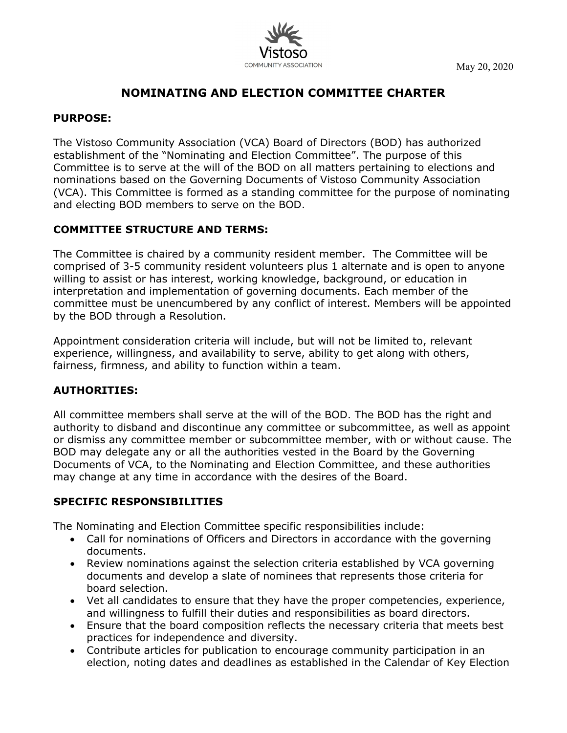

May 20, 2020

# **NOMINATING AND ELECTION COMMITTEE CHARTER**

## **PURPOSE:**

The Vistoso Community Association (VCA) Board of Directors (BOD) has authorized establishment of the "Nominating and Election Committee". The purpose of this Committee is to serve at the will of the BOD on all matters pertaining to elections and nominations based on the Governing Documents of Vistoso Community Association (VCA). This Committee is formed as a standing committee for the purpose of nominating and electing BOD members to serve on the BOD.

## **COMMITTEE STRUCTURE AND TERMS:**

The Committee is chaired by a community resident member. The Committee will be comprised of 3-5 community resident volunteers plus 1 alternate and is open to anyone willing to assist or has interest, working knowledge, background, or education in interpretation and implementation of governing documents. Each member of the committee must be unencumbered by any conflict of interest. Members will be appointed by the BOD through a Resolution.

Appointment consideration criteria will include, but will not be limited to, relevant experience, willingness, and availability to serve, ability to get along with others, fairness, firmness, and ability to function within a team.

#### **AUTHORITIES:**

All committee members shall serve at the will of the BOD. The BOD has the right and authority to disband and discontinue any committee or subcommittee, as well as appoint or dismiss any committee member or subcommittee member, with or without cause. The BOD may delegate any or all the authorities vested in the Board by the Governing Documents of VCA, to the Nominating and Election Committee, and these authorities may change at any time in accordance with the desires of the Board.

# **SPECIFIC RESPONSIBILITIES**

The Nominating and Election Committee specific responsibilities include:

- Call for nominations of Officers and Directors in accordance with the governing documents.
- Review nominations against the selection criteria established by VCA governing documents and develop a slate of nominees that represents those criteria for board selection.
- Vet all candidates to ensure that they have the proper competencies, experience, and willingness to fulfill their duties and responsibilities as board directors.
- Ensure that the board composition reflects the necessary criteria that meets best practices for independence and diversity.
- Contribute articles for publication to encourage community participation in an election, noting dates and deadlines as established in the Calendar of Key Election